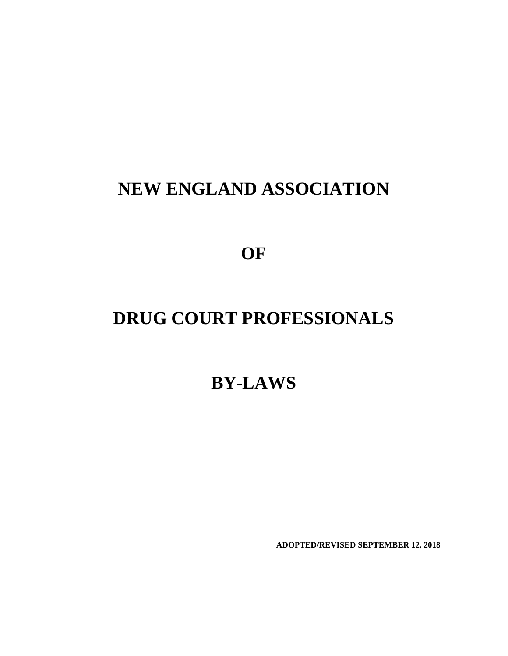# **NEW ENGLAND ASSOCIATION**

**OF**

# **DRUG COURT PROFESSIONALS**

**BY-LAWS**

**ADOPTED/REVISED SEPTEMBER 12, 2018**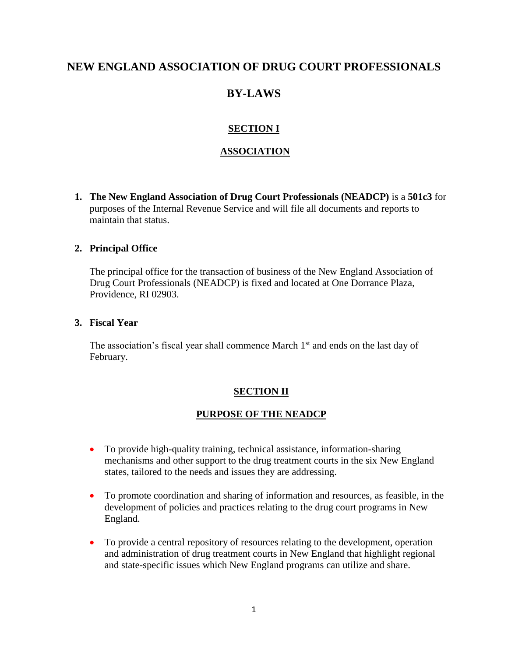## **NEW ENGLAND ASSOCIATION OF DRUG COURT PROFESSIONALS**

# **BY-LAWS**

## **SECTION I**

## **ASSOCIATION**

**1. The New England Association of Drug Court Professionals (NEADCP)** is a **501c3** for purposes of the Internal Revenue Service and will file all documents and reports to maintain that status.

## **2. Principal Office**

The principal office for the transaction of business of the New England Association of Drug Court Professionals (NEADCP) is fixed and located at One Dorrance Plaza, Providence, RI 02903.

## **3. Fiscal Year**

The association's fiscal year shall commence March  $1<sup>st</sup>$  and ends on the last day of February.

## **SECTION II**

## **PURPOSE OF THE NEADCP**

- To provide high-quality training, technical assistance, information-sharing mechanisms and other support to the drug treatment courts in the six New England states, tailored to the needs and issues they are addressing.
- To promote coordination and sharing of information and resources, as feasible, in the development of policies and practices relating to the drug court programs in New England.
- To provide a central repository of resources relating to the development, operation and administration of drug treatment courts in New England that highlight regional and state-specific issues which New England programs can utilize and share.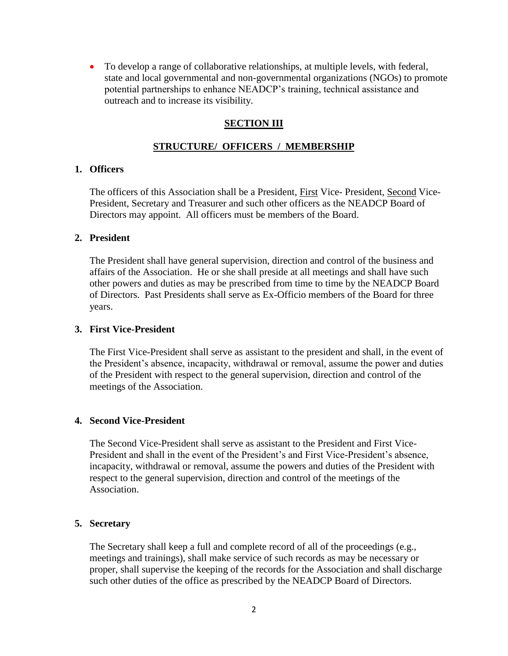• To develop a range of collaborative relationships, at multiple levels, with federal, state and local governmental and non-governmental organizations (NGOs) to promote potential partnerships to enhance NEADCP's training, technical assistance and outreach and to increase its visibility.

#### **SECTION III**

#### **STRUCTURE/ OFFICERS / MEMBERSHIP**

#### **1. Officers**

The officers of this Association shall be a President, First Vice- President, Second Vice-President, Secretary and Treasurer and such other officers as the NEADCP Board of Directors may appoint. All officers must be members of the Board.

#### **2. President**

The President shall have general supervision, direction and control of the business and affairs of the Association. He or she shall preside at all meetings and shall have such other powers and duties as may be prescribed from time to time by the NEADCP Board of Directors. Past Presidents shall serve as Ex-Officio members of the Board for three years.

#### **3. First Vice-President**

The First Vice-President shall serve as assistant to the president and shall, in the event of the President's absence, incapacity, withdrawal or removal, assume the power and duties of the President with respect to the general supervision, direction and control of the meetings of the Association.

#### **4. Second Vice-President**

The Second Vice-President shall serve as assistant to the President and First Vice-President and shall in the event of the President's and First Vice-President's absence, incapacity, withdrawal or removal, assume the powers and duties of the President with respect to the general supervision, direction and control of the meetings of the Association.

#### **5. Secretary**

The Secretary shall keep a full and complete record of all of the proceedings (e.g., meetings and trainings), shall make service of such records as may be necessary or proper, shall supervise the keeping of the records for the Association and shall discharge such other duties of the office as prescribed by the NEADCP Board of Directors.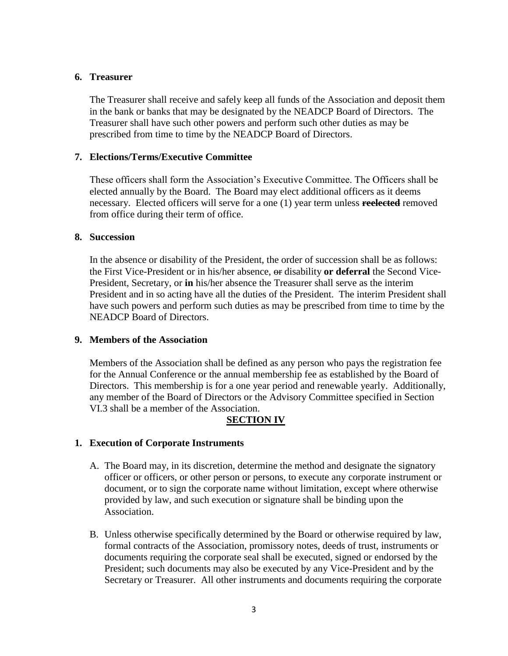#### **6. Treasurer**

The Treasurer shall receive and safely keep all funds of the Association and deposit them in the bank or banks that may be designated by the NEADCP Board of Directors. The Treasurer shall have such other powers and perform such other duties as may be prescribed from time to time by the NEADCP Board of Directors.

#### **7. Elections/Terms/Executive Committee**

These officers shall form the Association's Executive Committee. The Officers shall be elected annually by the Board. The Board may elect additional officers as it deems necessary. Elected officers will serve for a one (1) year term unless **reelected** removed from office during their term of office.

#### **8. Succession**

In the absence or disability of the President, the order of succession shall be as follows: the First Vice-President or in his/her absence, or disability **or deferral** the Second Vice-President, Secretary, or **in** his/her absence the Treasurer shall serve as the interim President and in so acting have all the duties of the President. The interim President shall have such powers and perform such duties as may be prescribed from time to time by the NEADCP Board of Directors.

#### **9. Members of the Association**

Members of the Association shall be defined as any person who pays the registration fee for the Annual Conference or the annual membership fee as established by the Board of Directors. This membership is for a one year period and renewable yearly. Additionally, any member of the Board of Directors or the Advisory Committee specified in Section VI.3 shall be a member of the Association.

## **SECTION IV**

#### **1. Execution of Corporate Instruments**

- A. The Board may, in its discretion, determine the method and designate the signatory officer or officers, or other person or persons, to execute any corporate instrument or document, or to sign the corporate name without limitation, except where otherwise provided by law, and such execution or signature shall be binding upon the Association.
- B. Unless otherwise specifically determined by the Board or otherwise required by law, formal contracts of the Association, promissory notes, deeds of trust, instruments or documents requiring the corporate seal shall be executed, signed or endorsed by the President; such documents may also be executed by any Vice-President and by the Secretary or Treasurer. All other instruments and documents requiring the corporate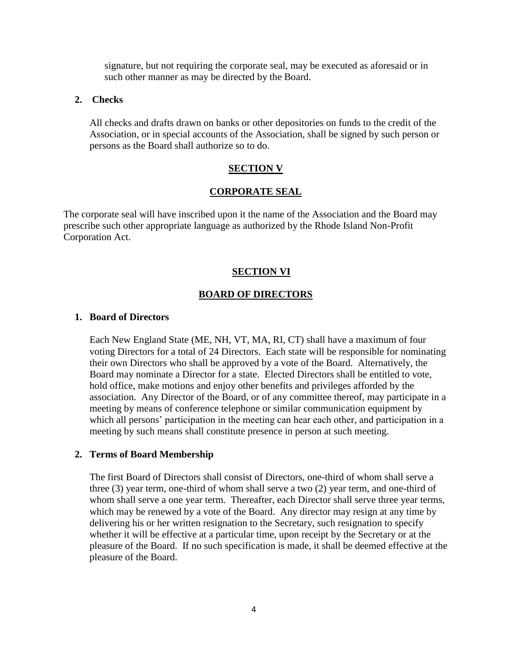signature, but not requiring the corporate seal, may be executed as aforesaid or in such other manner as may be directed by the Board.

#### **2. Checks**

All checks and drafts drawn on banks or other depositories on funds to the credit of the Association, or in special accounts of the Association, shall be signed by such person or persons as the Board shall authorize so to do.

#### **SECTION V**

#### **CORPORATE SEAL**

The corporate seal will have inscribed upon it the name of the Association and the Board may prescribe such other appropriate language as authorized by the Rhode Island Non-Profit Corporation Act.

#### **SECTION VI**

#### **BOARD OF DIRECTORS**

#### **1. Board of Directors**

Each New England State (ME, NH, VT, MA, RI, CT) shall have a maximum of four voting Directors for a total of 24 Directors. Each state will be responsible for nominating their own Directors who shall be approved by a vote of the Board. Alternatively, the Board may nominate a Director for a state. Elected Directors shall be entitled to vote, hold office, make motions and enjoy other benefits and privileges afforded by the association. Any Director of the Board, or of any committee thereof, may participate in a meeting by means of conference telephone or similar communication equipment by which all persons' participation in the meeting can hear each other, and participation in a meeting by such means shall constitute presence in person at such meeting.

#### **2. Terms of Board Membership**

The first Board of Directors shall consist of Directors, one-third of whom shall serve a three (3) year term, one-third of whom shall serve a two (2) year term, and one-third of whom shall serve a one year term. Thereafter, each Director shall serve three year terms, which may be renewed by a vote of the Board. Any director may resign at any time by delivering his or her written resignation to the Secretary, such resignation to specify whether it will be effective at a particular time, upon receipt by the Secretary or at the pleasure of the Board. If no such specification is made, it shall be deemed effective at the pleasure of the Board.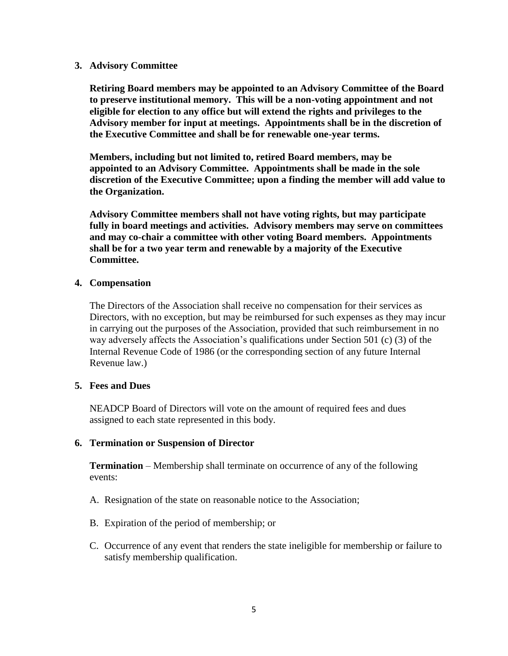#### **3. Advisory Committee**

**Retiring Board members may be appointed to an Advisory Committee of the Board to preserve institutional memory. This will be a non-voting appointment and not eligible for election to any office but will extend the rights and privileges to the Advisory member for input at meetings. Appointments shall be in the discretion of the Executive Committee and shall be for renewable one-year terms.**

**Members, including but not limited to, retired Board members, may be appointed to an Advisory Committee. Appointments shall be made in the sole discretion of the Executive Committee; upon a finding the member will add value to the Organization.** 

**Advisory Committee members shall not have voting rights, but may participate fully in board meetings and activities. Advisory members may serve on committees and may co-chair a committee with other voting Board members. Appointments shall be for a two year term and renewable by a majority of the Executive Committee.**

#### **4. Compensation**

The Directors of the Association shall receive no compensation for their services as Directors, with no exception, but may be reimbursed for such expenses as they may incur in carrying out the purposes of the Association, provided that such reimbursement in no way adversely affects the Association's qualifications under Section 501 (c) (3) of the Internal Revenue Code of 1986 (or the corresponding section of any future Internal Revenue law.)

#### **5. Fees and Dues**

NEADCP Board of Directors will vote on the amount of required fees and dues assigned to each state represented in this body.

#### **6. Termination or Suspension of Director**

**Termination** – Membership shall terminate on occurrence of any of the following events:

- A. Resignation of the state on reasonable notice to the Association;
- B. Expiration of the period of membership; or
- C. Occurrence of any event that renders the state ineligible for membership or failure to satisfy membership qualification.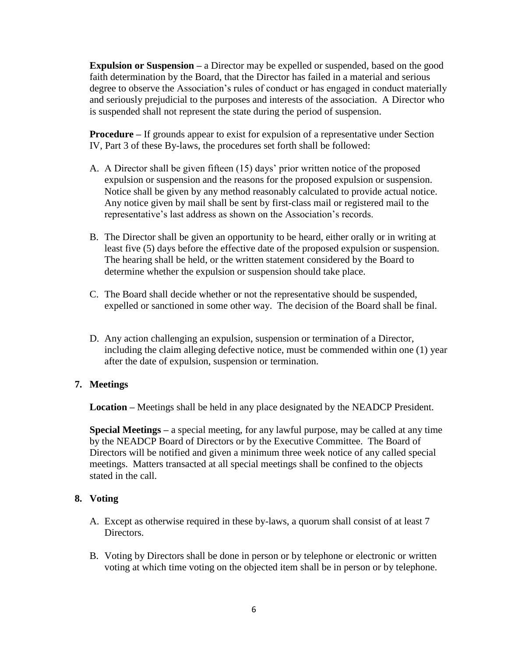**Expulsion or Suspension** – a Director may be expelled or suspended, based on the good faith determination by the Board, that the Director has failed in a material and serious degree to observe the Association's rules of conduct or has engaged in conduct materially and seriously prejudicial to the purposes and interests of the association. A Director who is suspended shall not represent the state during the period of suspension.

**Procedure** – If grounds appear to exist for expulsion of a representative under Section IV, Part 3 of these By-laws, the procedures set forth shall be followed:

- A. A Director shall be given fifteen (15) days' prior written notice of the proposed expulsion or suspension and the reasons for the proposed expulsion or suspension. Notice shall be given by any method reasonably calculated to provide actual notice. Any notice given by mail shall be sent by first-class mail or registered mail to the representative's last address as shown on the Association's records.
- B. The Director shall be given an opportunity to be heard, either orally or in writing at least five (5) days before the effective date of the proposed expulsion or suspension. The hearing shall be held, or the written statement considered by the Board to determine whether the expulsion or suspension should take place.
- C. The Board shall decide whether or not the representative should be suspended, expelled or sanctioned in some other way. The decision of the Board shall be final.
- D. Any action challenging an expulsion, suspension or termination of a Director, including the claim alleging defective notice, must be commended within one (1) year after the date of expulsion, suspension or termination.

## **7. Meetings**

**Location –** Meetings shall be held in any place designated by the NEADCP President.

**Special Meetings –** a special meeting, for any lawful purpose, may be called at any time by the NEADCP Board of Directors or by the Executive Committee. The Board of Directors will be notified and given a minimum three week notice of any called special meetings. Matters transacted at all special meetings shall be confined to the objects stated in the call.

## **8. Voting**

- A. Except as otherwise required in these by-laws, a quorum shall consist of at least 7 Directors.
- B. Voting by Directors shall be done in person or by telephone or electronic or written voting at which time voting on the objected item shall be in person or by telephone.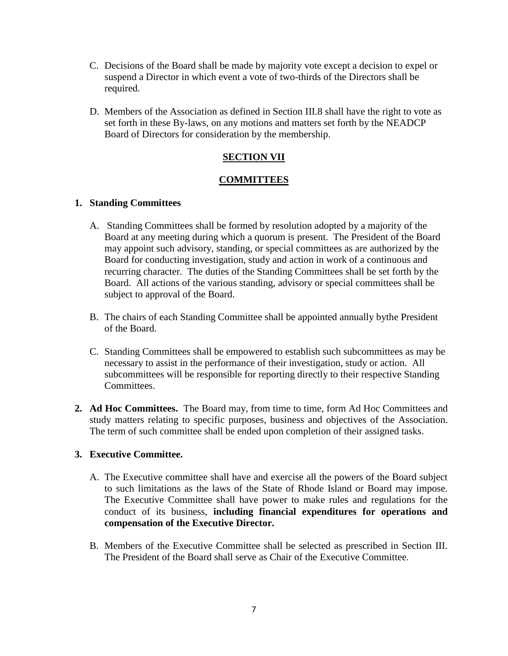- C. Decisions of the Board shall be made by majority vote except a decision to expel or suspend a Director in which event a vote of two-thirds of the Directors shall be required.
- D. Members of the Association as defined in Section III.8 shall have the right to vote as set forth in these By-laws, on any motions and matters set forth by the NEADCP Board of Directors for consideration by the membership.

## **SECTION VII**

## **COMMITTEES**

## **1. Standing Committees**

- A. Standing Committees shall be formed by resolution adopted by a majority of the Board at any meeting during which a quorum is present. The President of the Board may appoint such advisory, standing, or special committees as are authorized by the Board for conducting investigation, study and action in work of a continuous and recurring character. The duties of the Standing Committees shall be set forth by the Board. All actions of the various standing, advisory or special committees shall be subject to approval of the Board.
- B. The chairs of each Standing Committee shall be appointed annually bythe President of the Board.
- C. Standing Committees shall be empowered to establish such subcommittees as may be necessary to assist in the performance of their investigation, study or action. All subcommittees will be responsible for reporting directly to their respective Standing Committees.
- **2. Ad Hoc Committees.** The Board may, from time to time, form Ad Hoc Committees and study matters relating to specific purposes, business and objectives of the Association. The term of such committee shall be ended upon completion of their assigned tasks.

## **3. Executive Committee.**

- A. The Executive committee shall have and exercise all the powers of the Board subject to such limitations as the laws of the State of Rhode Island or Board may impose. The Executive Committee shall have power to make rules and regulations for the conduct of its business, **including financial expenditures for operations and compensation of the Executive Director.**
- B. Members of the Executive Committee shall be selected as prescribed in Section III. The President of the Board shall serve as Chair of the Executive Committee.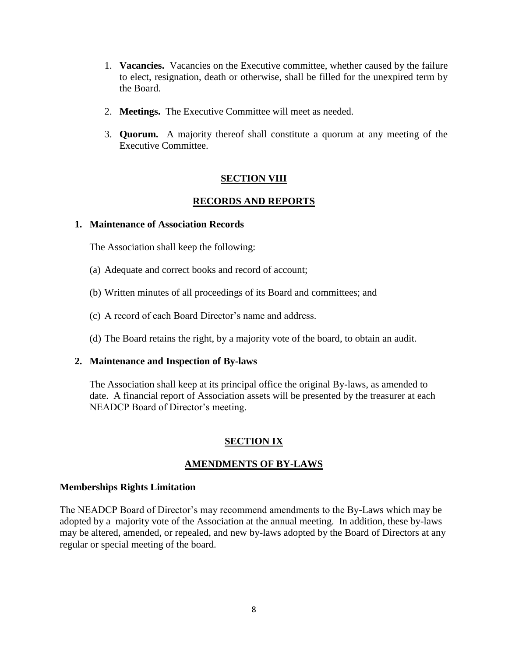- 1. **Vacancies.** Vacancies on the Executive committee, whether caused by the failure to elect, resignation, death or otherwise, shall be filled for the unexpired term by the Board.
- 2. **Meetings.** The Executive Committee will meet as needed.
- 3. **Quorum.** A majority thereof shall constitute a quorum at any meeting of the Executive Committee.

#### **SECTION VIII**

## **RECORDS AND REPORTS**

#### **1. Maintenance of Association Records**

The Association shall keep the following:

- (a) Adequate and correct books and record of account;
- (b) Written minutes of all proceedings of its Board and committees; and
- (c) A record of each Board Director's name and address.
- (d) The Board retains the right, by a majority vote of the board, to obtain an audit.

#### **2. Maintenance and Inspection of By-laws**

The Association shall keep at its principal office the original By-laws, as amended to date. A financial report of Association assets will be presented by the treasurer at each NEADCP Board of Director's meeting.

## **SECTION IX**

#### **AMENDMENTS OF BY-LAWS**

#### **Memberships Rights Limitation**

The NEADCP Board of Director's may recommend amendments to the By-Laws which may be adopted by a majority vote of the Association at the annual meeting. In addition, these by-laws may be altered, amended, or repealed, and new by-laws adopted by the Board of Directors at any regular or special meeting of the board.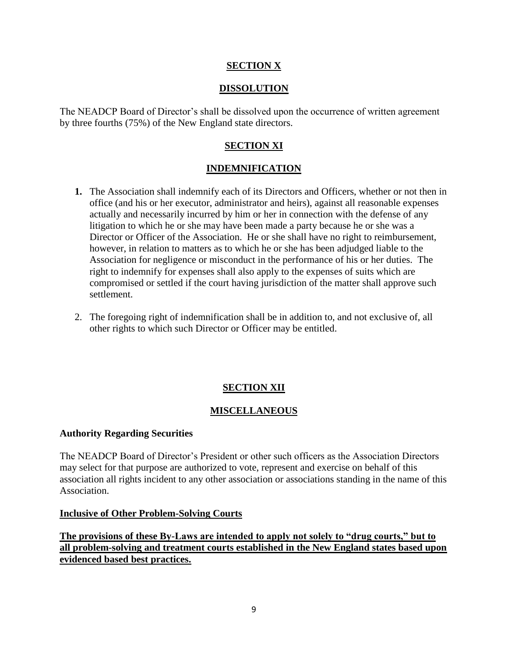## **SECTION X**

## **DISSOLUTION**

The NEADCP Board of Director's shall be dissolved upon the occurrence of written agreement by three fourths (75%) of the New England state directors.

## **SECTION XI**

## **INDEMNIFICATION**

- **1.** The Association shall indemnify each of its Directors and Officers, whether or not then in office (and his or her executor, administrator and heirs), against all reasonable expenses actually and necessarily incurred by him or her in connection with the defense of any litigation to which he or she may have been made a party because he or she was a Director or Officer of the Association. He or she shall have no right to reimbursement, however, in relation to matters as to which he or she has been adjudged liable to the Association for negligence or misconduct in the performance of his or her duties. The right to indemnify for expenses shall also apply to the expenses of suits which are compromised or settled if the court having jurisdiction of the matter shall approve such settlement.
- 2. The foregoing right of indemnification shall be in addition to, and not exclusive of, all other rights to which such Director or Officer may be entitled.

## **SECTION XII**

## **MISCELLANEOUS**

#### **Authority Regarding Securities**

The NEADCP Board of Director's President or other such officers as the Association Directors may select for that purpose are authorized to vote, represent and exercise on behalf of this association all rights incident to any other association or associations standing in the name of this Association.

#### **Inclusive of Other Problem-Solving Courts**

**The provisions of these By-Laws are intended to apply not solely to "drug courts," but to all problem-solving and treatment courts established in the New England states based upon evidenced based best practices.**